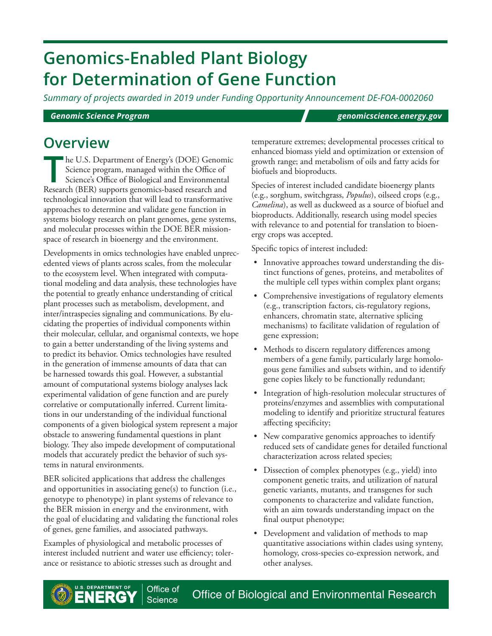# **Genomics-Enabled Plant Biology for Determination of Gene Function**

*Summary of projects awarded in 2019 under Funding Opportunity Announcement DE-FOA-0002060*

*Genomic Science Program [genomicscience.energy.gov](http://genomicscience.energy.gov)*

The U.S. Department of Energy's (DOE) Genomic<br>Science program, managed within the Office of<br>Science's Office of Biological and Environmental<br>Research (BER) supports genomics based research and Science program, managed within the Office of Science's Office of Biological and Environmental Research (BER) supports genomics-based research and technological innovation that will lead to transformative approaches to determine and validate gene function in systems biology research on plant genomes, gene systems, and molecular processes within the DOE BER missionspace of research in bioenergy and the environment.

Developments in omics technologies have enabled unprecedented views of plants across scales, from the molecular to the ecosystem level. When integrated with computational modeling and data analysis, these technologies have the potential to greatly enhance understanding of critical plant processes such as metabolism, development, and inter/intraspecies signaling and communications. By elucidating the properties of individual components within their molecular, cellular, and organismal contexts, we hope to gain a better understanding of the living systems and to predict its behavior. Omics technologies have resulted in the generation of immense amounts of data that can be harnessed towards this goal. However, a substantial amount of computational systems biology analyses lack experimental validation of gene function and are purely correlative or computationally inferred. Current limitations in our understanding of the individual functional components of a given biological system represent a major obstacle to answering fundamental questions in plant biology. They also impede development of computational models that accurately predict the behavior of such systems in natural environments.

BER solicited applications that address the challenges and opportunities in associating gene(s) to function (i.e., genotype to phenotype) in plant systems of relevance to the BER mission in energy and the environment, with the goal of elucidating and validating the functional roles of genes, gene families, and associated pathways.

Examples of physiological and metabolic processes of interest included nutrient and water use efficiency; tolerance or resistance to abiotic stresses such as drought and

**OVERVIEW** temperature extremes; developmental processes critical to enhanced biomass yield and optimization or extension of growth range; and metabolism of oils and fatty acids for biofuels and bioproducts.

> Species of interest included candidate bioenergy plants (e.g., sorghum, switchgrass, *Populus*), oilseed crops (e.g., *Camelina*), as well as duckweed as a source of biofuel and bioproducts. Additionally, research using model species with relevance to and potential for translation to bioenergy crops was accepted.

Specific topics of interest included:

- Innovative approaches toward understanding the distinct functions of genes, proteins, and metabolites of the multiple cell types within complex plant organs;
- Comprehensive investigations of regulatory elements (e.g., transcription factors, cis-regulatory regions, enhancers, chromatin state, alternative splicing mechanisms) to facilitate validation of regulation of gene expression;
- Methods to discern regulatory differences among members of a gene family, particularly large homologous gene families and subsets within, and to identify gene copies likely to be functionally redundant;
- Integration of high-resolution molecular structures of proteins/enzymes and assemblies with computational modeling to identify and prioritize structural features affecting specificity;
- New comparative genomics approaches to identify reduced sets of candidate genes for detailed functional characterization across related species;
- Dissection of complex phenotypes (e.g., yield) into component genetic traits, and utilization of natural genetic variants, mutants, and transgenes for such components to characterize and validate function, with an aim towards understanding impact on the final output phenotype;
- Development and validation of methods to map quantitative associations within clades using synteny, homology, cross-species co-expression network, and other analyses.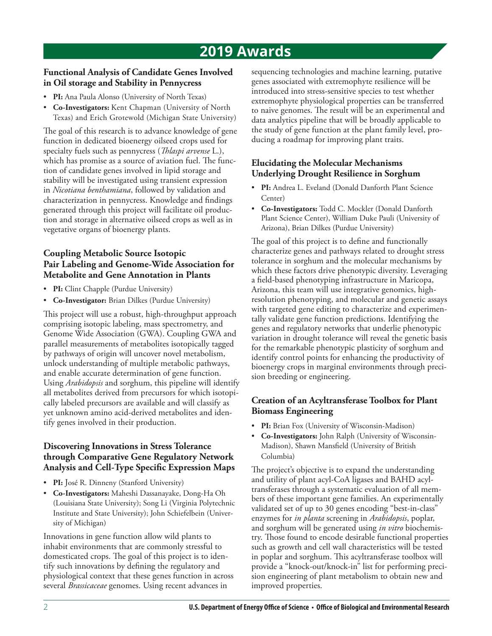# **2019 Awards**

#### **Functional Analysis of Candidate Genes Involved in Oil storage and Stability in Pennycress**

- **PI:** Ana Paula Alonso (University of North Texas)
- **Co-Investigators:** Kent Chapman (University of North Texas) and Erich Grotewold (Michigan State University)

The goal of this research is to advance knowledge of gene function in dedicated bioenergy oilseed crops used for specialty fuels such as pennycress (*Thlaspi arvense* L.), which has promise as a source of aviation fuel. The function of candidate genes involved in lipid storage and stability will be investigated using transient expression in *Nicotiana benthamiana*, followed by validation and characterization in pennycress. Knowledge and findings generated through this project will facilitate oil production and storage in alternative oilseed crops as well as in vegetative organs of bioenergy plants.

#### **Coupling Metabolic Source Isotopic Pair Labeling and Genome-Wide Association for Metabolite and Gene Annotation in Plants**

- **PI:** Clint Chapple (Purdue University)
- **Co-Investigator:** Brian Dilkes (Purdue University)

This project will use a robust, high-throughput approach comprising isotopic labeling, mass spectrometry, and Genome Wide Association (GWA). Coupling GWA and parallel measurements of metabolites isotopically tagged by pathways of origin will uncover novel metabolism, unlock understanding of multiple metabolic pathways, and enable accurate determination of gene function. Using *Arabidopsis* and sorghum, this pipeline will identify all metabolites derived from precursors for which isotopically labeled precursors are available and will classify as yet unknown amino acid-derived metabolites and identify genes involved in their production.

#### **Discovering Innovations in Stress Tolerance through Comparative Gene Regulatory Network Analysis and Cell-Type Specific Expression Maps**

- **PI:** José R. Dinneny (Stanford University)
- **Co-Investigators:** Maheshi Dassanayake, Dong-Ha Oh (Louisiana State University); Song Li (Virginia Polytechnic Institute and State University); John Schiefelbein (University of Michigan)

Innovations in gene function allow wild plants to inhabit environments that are commonly stressful to domesticated crops. The goal of this project is to identify such innovations by defining the regulatory and physiological context that these genes function in across several *Brassicaceae* genomes. Using recent advances in

sequencing technologies and machine learning, putative genes associated with extremophyte resilience will be introduced into stress-sensitive species to test whether extremophyte physiological properties can be transferred to naive genomes. The result will be an experimental and data analytics pipeline that will be broadly applicable to the study of gene function at the plant family level, producing a roadmap for improving plant traits.

### **Elucidating the Molecular Mechanisms Underlying Drought Resilience in Sorghum**

- **PI:** Andrea L. Eveland (Donald Danforth Plant Science Center)
- **Co-Investigators:** Todd C. Mockler (Donald Danforth Plant Science Center), William Duke Pauli (University of Arizona), Brian Dilkes (Purdue University)

The goal of this project is to define and functionally characterize genes and pathways related to drought stress tolerance in sorghum and the molecular mechanisms by which these factors drive phenotypic diversity. Leveraging a field-based phenotyping infrastructure in Maricopa, Arizona, this team will use integrative genomics, highresolution phenotyping, and molecular and genetic assays with targeted gene editing to characterize and experimentally validate gene function predictions. Identifying the genes and regulatory networks that underlie phenotypic variation in drought tolerance will reveal the genetic basis for the remarkable phenotypic plasticity of sorghum and identify control points for enhancing the productivity of bioenergy crops in marginal environments through precision breeding or engineering.

### **Creation of an Acyltransferase Toolbox for Plant Biomass Engineering**

- **PI:** Brian Fox (University of Wisconsin-Madison)
- **Co-Investigators:** John Ralph (University of Wisconsin-Madison), Shawn Mansfield (University of British Columbia)

The project's objective is to expand the understanding and utility of plant acyl-CoA ligases and BAHD acyltransferases through a systematic evaluation of all members of these important gene families. An experimentally validated set of up to 30 genes encoding "best-in-class" enzymes for *in planta* screening in *Arabidopsis*, poplar, and sorghum will be generated using *in vitro* biochemistry. Those found to encode desirable functional properties such as growth and cell wall characteristics will be tested in poplar and sorghum. This acyltransferase toolbox will provide a "knock-out/knock-in" list for performing precision engineering of plant metabolism to obtain new and improved properties.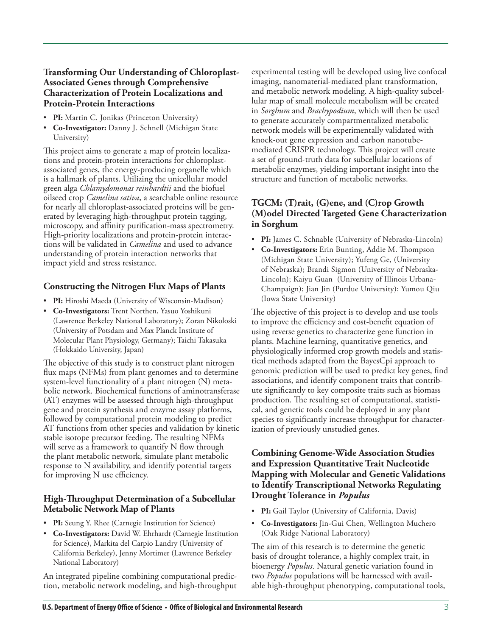#### **Transforming Our Understanding of Chloroplast-Associated Genes through Comprehensive Characterization of Protein Localizations and Protein-Protein Interactions**

- **PI:** Martin C. Jonikas (Princeton University)
- **Co-Investigator:** Danny J. Schnell (Michigan State University)

This project aims to generate a map of protein localizations and protein-protein interactions for chloroplastassociated genes, the energy-producing organelle which is a hallmark of plants. Utilizing the unicellular model green alga *Chlamydomonas reinhardtii* and the biofuel oilseed crop *Camelina sativa*, a searchable online resource for nearly all chloroplast-associated proteins will be generated by leveraging high-throughput protein tagging, microscopy, and affinity purification-mass spectrometry. High-priority localizations and protein-protein interactions will be validated in *Camelina* and used to advance understanding of protein interaction networks that impact yield and stress resistance.

#### **Constructing the Nitrogen Flux Maps of Plants**

- **PI:** Hiroshi Maeda (University of Wisconsin-Madison)
- **Co-Investigators:** Trent Northen, Yasuo Yoshikuni (Lawrence Berkeley National Laboratory); Zoran Nikoloski (University of Potsdam and Max Planck Institute of Molecular Plant Physiology, Germany); Taichi Takasuka (Hokkaido University, Japan)

The objective of this study is to construct plant nitrogen flux maps (NFMs) from plant genomes and to determine system-level functionality of a plant nitrogen (N) metabolic network. Biochemical functions of aminotransferase (AT) enzymes will be assessed through high-throughput gene and protein synthesis and enzyme assay platforms, followed by computational protein modeling to predict AT functions from other species and validation by kinetic stable isotope precursor feeding. The resulting NFMs will serve as a framework to quantify N flow through the plant metabolic network, simulate plant metabolic response to N availability, and identify potential targets for improving N use efficiency.

#### **High-Throughput Determination of a Subcellular Metabolic Network Map of Plants**

- **PI:** Seung Y. Rhee (Carnegie Institution for Science)
- **Co-Investigators:** David W. Ehrhardt (Carnegie Institution for Science), Markita del Carpio Landry (University of California Berkeley), Jenny Mortimer (Lawrence Berkeley National Laboratory)

An integrated pipeline combining computational prediction, metabolic network modeling, and high-throughput

experimental testing will be developed using live confocal imaging, nanomaterial-mediated plant transformation, and metabolic network modeling. A high-quality subcellular map of small molecule metabolism will be created in *Sorghum* and *Brachypodium*, which will then be used to generate accurately compartmentalized metabolic network models will be experimentally validated with knock-out gene expression and carbon nanotubemediated CRISPR technology. This project will create a set of ground-truth data for subcellular locations of metabolic enzymes, yielding important insight into the structure and function of metabolic networks.

#### **TGCM: (T)rait, (G)ene, and (C)rop Growth (M)odel Directed Targeted Gene Characterization in Sorghum**

- **PI:** James C. Schnable (University of Nebraska-Lincoln)
- **Co-Investigators:** Erin Bunting, Addie M. Thompson (Michigan State University); Yufeng Ge, (University of Nebraska); Brandi Sigmon (University of Nebraska-Lincoln); Kaiyu Guan (University of Illinois Urbana-Champaign); Jian Jin (Purdue University); Yumou Qiu (Iowa State University)

The objective of this project is to develop and use tools to improve the efficiency and cost-benefit equation of using reverse genetics to characterize gene function in plants. Machine learning, quantitative genetics, and physiologically informed crop growth models and statistical methods adapted from the BayesCpi approach to genomic prediction will be used to predict key genes, find associations, and identify component traits that contribute significantly to key composite traits such as biomass production. The resulting set of computational, statistical, and genetic tools could be deployed in any plant species to significantly increase throughput for characterization of previously unstudied genes.

#### **Combining Genome-Wide Association Studies and Expression Quantitative Trait Nucleotide Mapping with Molecular and Genetic Validations to Identify Transcriptional Networks Regulating Drought Tolerance in** *Populus*

- **PI:** Gail Taylor (University of California, Davis)
- **Co-Investigators:** Jin-Gui Chen, Wellington Muchero (Oak Ridge National Laboratory)

The aim of this research is to determine the genetic basis of drought tolerance, a highly complex trait, in bioenergy *Populus*. Natural genetic variation found in two *Populus* populations will be harnessed with available high-throughput phenotyping, computational tools,